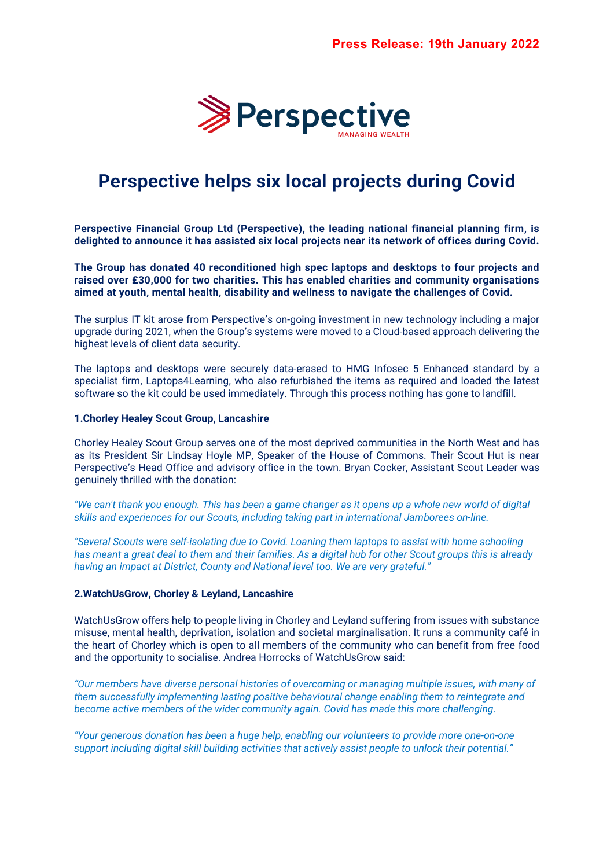

# **Perspective helps six local projects during Covid**

**Perspective Financial Group Ltd (Perspective), the leading national financial planning firm, is delighted to announce it has assisted six local projects near its network of offices during Covid.** 

**The Group has donated 40 reconditioned high spec laptops and desktops to four projects and raised over £30,000 for two charities. This has enabled charities and community organisations aimed at youth, mental health, disability and wellness to navigate the challenges of Covid.**

The surplus IT kit arose from Perspective's on-going investment in new technology including a major upgrade during 2021, when the Group's systems were moved to a Cloud-based approach delivering the highest levels of client data security.

The laptops and desktops were securely data-erased to HMG Infosec 5 Enhanced standard by a specialist firm, Laptops4Learning, who also refurbished the items as required and loaded the latest software so the kit could be used immediately. Through this process nothing has gone to landfill.

#### **1.Chorley Healey Scout Group, Lancashire**

Chorley Healey Scout Group serves one of the most deprived communities in the North West and has as its President Sir Lindsay Hoyle MP, Speaker of the House of Commons. Their Scout Hut is near Perspective's Head Office and advisory office in the town. Bryan Cocker, Assistant Scout Leader was genuinely thrilled with the donation:

*"We can't thank you enough. This has been a game changer as it opens up a whole new world of digital skills and experiences for our Scouts, including taking part in international Jamborees on-line.*

*"Several Scouts were self-isolating due to Covid. Loaning them laptops to assist with home schooling has meant a great deal to them and their families. As a digital hub for other Scout groups this is already having an impact at District, County and National level too. We are very grateful."*

## **2.WatchUsGrow, Chorley & Leyland, Lancashire**

WatchUsGrow offers help to people living in Chorley and Leyland suffering from issues with substance misuse, mental health, deprivation, isolation and societal marginalisation. It runs a community café in the heart of Chorley which is open to all members of the community who can benefit from free food and the opportunity to socialise. Andrea Horrocks of WatchUsGrow said:

*"Our members have diverse personal histories of overcoming or managing multiple issues, with many of them successfully implementing lasting positive behavioural change enabling them to reintegrate and become active members of the wider community again. Covid has made this more challenging.*

*"Your generous donation has been a huge help, enabling our volunteers to provide more one-on-one support including digital skill building activities that actively assist people to unlock their potential."*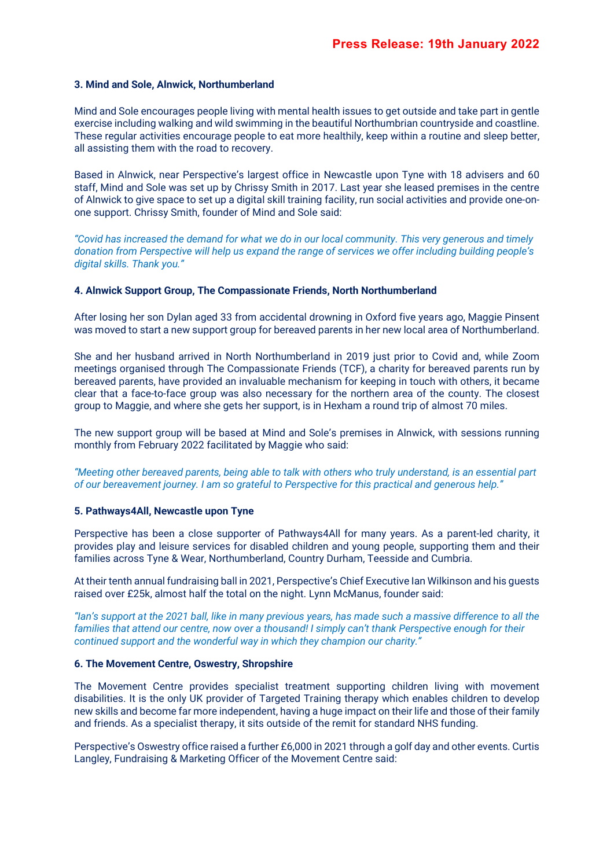## **3. Mind and Sole, Alnwick, Northumberland**

Mind and Sole encourages people living with mental health issues to get outside and take part in gentle exercise including walking and wild swimming in the beautiful Northumbrian countryside and coastline. These regular activities encourage people to eat more healthily, keep within a routine and sleep better, all assisting them with the road to recovery.

Based in Alnwick, near Perspective's largest office in Newcastle upon Tyne with 18 advisers and 60 staff, Mind and Sole was set up by Chrissy Smith in 2017. Last year she leased premises in the centre of Alnwick to give space to set up a digital skill training facility, run social activities and provide one-onone support. Chrissy Smith, founder of Mind and Sole said:

*"Covid has increased the demand for what we do in our local community. This very generous and timely donation from Perspective will help us expand the range of services we offer including building people's digital skills. Thank you."*

#### **4. Alnwick Support Group, The Compassionate Friends, North Northumberland**

After losing her son Dylan aged 33 from accidental drowning in Oxford five years ago, Maggie Pinsent was moved to start a new support group for bereaved parents in her new local area of Northumberland.

She and her husband arrived in North Northumberland in 2019 just prior to Covid and, while Zoom meetings organised through The Compassionate Friends (TCF), a charity for bereaved parents run by bereaved parents, have provided an invaluable mechanism for keeping in touch with others, it became clear that a face-to-face group was also necessary for the northern area of the county. The closest group to Maggie, and where she gets her support, is in Hexham a round trip of almost 70 miles.

The new support group will be based at Mind and Sole's premises in Alnwick, with sessions running monthly from February 2022 facilitated by Maggie who said:

*"Meeting other bereaved parents, being able to talk with others who truly understand, is an essential part of our bereavement journey. I am so grateful to Perspective for this practical and generous help."*

#### **5. Pathways4All, Newcastle upon Tyne**

Perspective has been a close supporter of Pathways4All for many years. As a parent-led charity, it provides play and leisure services for disabled children and young people, supporting them and their families across Tyne & Wear, Northumberland, Country Durham, Teesside and Cumbria.

At their tenth annual fundraising ball in 2021, Perspective's Chief Executive Ian Wilkinson and his guests raised over £25k, almost half the total on the night. Lynn McManus, founder said:

*"Ian's support at the 2021 ball, like in many previous years, has made such a massive difference to all the families that attend our centre, now over a thousand! I simply can't thank Perspective enough for their continued support and the wonderful way in which they champion our charity."*

#### **6. The Movement Centre, Oswestry, Shropshire**

The Movement Centre provides specialist treatment supporting children living with movement disabilities. It is the only UK provider of Targeted Training therapy which enables children to develop new skills and become far more independent, having a huge impact on their life and those of their family and friends. As a specialist therapy, it sits outside of the remit for standard NHS funding.

Perspective's Oswestry office raised a further £6,000 in 2021 through a golf day and other events. Curtis Langley, Fundraising & Marketing Officer of the Movement Centre said: